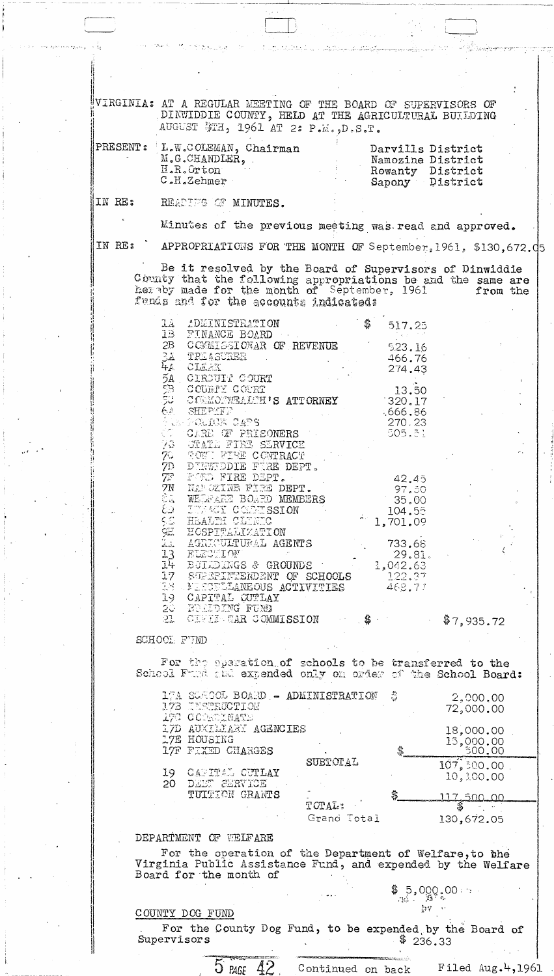VIRGINIA: AT A REGULAR MEETING OF THE BOARD OF SUPERVISORS OF DINWIDDIE COUNTY, HELD AT THE AGRICULTURAL BUILDING AUGUST #TH, 1961 AT 2: P.M., D.S.T.

| Namozine District<br>Rowanty District<br>Sapony District |  |
|----------------------------------------------------------|--|
|                                                          |  |
|                                                          |  |

IN RE: READING OF MINUTES.

Minutes of the previous meeting was read and approved.

IN RE:

APPROPRIATIONS FOR THE MONTH OF September, 1961, \$130,672.05

Be it resolved by the Board of Supervisors of Dinwiddie County that the following appropriations be and the same are her by made for the month of September, 1961 from the funds and for the accounts indicated:

| 1A ADMINISTRATION                                                                                   | 517.25    |  |
|-----------------------------------------------------------------------------------------------------|-----------|--|
| 1B FINANCE BOARD                                                                                    |           |  |
| 2B COMMISSIONAR OF REVENUE                                                                          | 523.16    |  |
|                                                                                                     | 466.76    |  |
| 3a freasurer<br>4a cle <i>a</i> x                                                                   | 274.43    |  |
|                                                                                                     |           |  |
|                                                                                                     | 13.50     |  |
| <b>5A CIRCUIT COURT<br/>5B COUNTY COURT<br/>5C COMONWEALCH'S ATTORNEY</b>                           | 320.17    |  |
| QA SHEPEFF                                                                                          | 0.666.86  |  |
|                                                                                                     | 270.23    |  |
| ius polius cars<br>CO CARE OF PRISONERS<br>98 CTATE FIRE SERVICE                                    | 505,81    |  |
|                                                                                                     |           |  |
| 70 SOWI FIRE CONTRACT                                                                               |           |  |
| 7D DENWIDDIE FIRE DEPT.                                                                             |           |  |
| 7F FORD FIRE DEPT.                                                                                  | 42.45     |  |
| 7N NAMOZINE FIRE DEPT.                                                                              | -97.30    |  |
| SA WELFARE BOARD MEMBERS                                                                            | 35.00     |  |
| & ITMACY COMMISSION                                                                                 | 104.55    |  |
| SS HEALTH CLINIC                                                                                    | 1,701.09  |  |
| <b>9E HOSPITALIZATION<br/>22 AGRICULTURAL AGENTS<br/>13 ELECTION<br/>14 ECILDINGS &amp; GROUNDS</b> |           |  |
|                                                                                                     | 733.68    |  |
|                                                                                                     | 29.81.    |  |
|                                                                                                     | 1,042.63  |  |
|                                                                                                     | $-122.37$ |  |
| 17 SUPERINTENDENT OF SCHOOLS                                                                        | 468.77    |  |
| 19 CAPITAL QUTLAY                                                                                   |           |  |
| 20 EULIDING FUNB                                                                                    |           |  |
|                                                                                                     |           |  |

23 CIVIL WAR COMMISSION \$7,935.72

SCHOOL FUND

For the speration of schools to be transferred to the School Fund and expended only on order of the School Board:

|    | 17A SUROOL BOARD - ADMINISTRATION<br>17B INSTRUCTION<br>172 COORDINATE |                       | $\mathbb{C}$ | 2,000,00<br>72,000.00            |
|----|------------------------------------------------------------------------|-----------------------|--------------|----------------------------------|
|    | 17D AUXILIARY AGENCIES<br>17E HOUSING<br>17F FIXED CHARGES             |                       |              | 18,000.00<br>15,000.00<br>500.00 |
| 19 | <b>CARITAL CUTLAY</b><br>20 DEET SERVICE<br>TUITION GRANTS             | SUBTOTAL              |              | 107, 500, 00<br>10,100.00        |
|    |                                                                        | TOPAL:<br>Grand Total |              | 130,672.05                       |

## DEPARTMENT OF VELFARE

For the operation of the Department of Welfare, to the Virginia Public Assistance Fund, and expended by the Welfare Board for the month of

 $\sim$ 

COUNTY DOG FUND

For the County Dog Fund, to be expended by the Board of Supervisors  $$236.33$  $\ddot{\phantom{a}}$ 

> <u> (estàrcac</u>onan  $5$  PAGE  $42$

and. Continued on back

Filed  $Aug.4, 1961$ 

 $\frac{1}{2}$  5, 000  $\frac{1}{2}$  00

-<br>朝史 (1)

ania T

 $\mathbf{v}$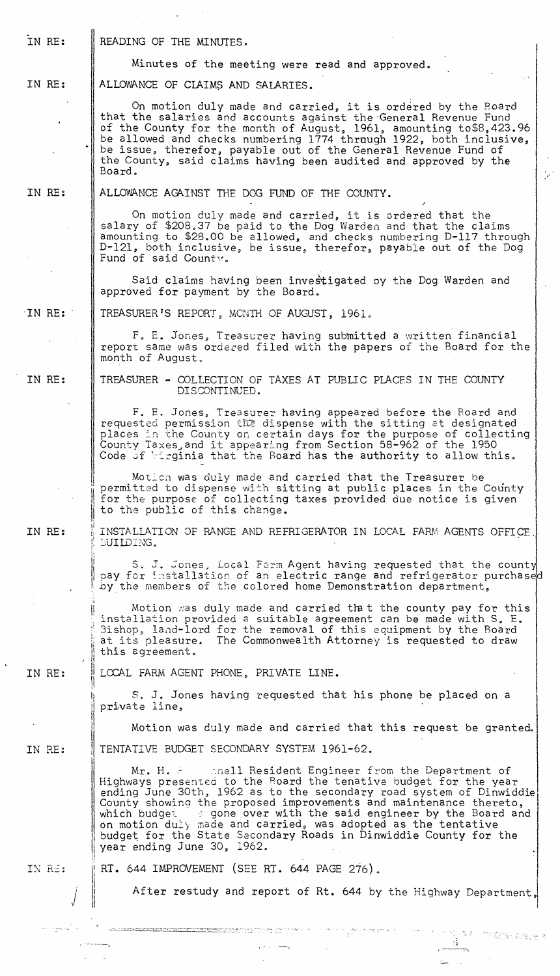IN RE: IN RE: IN RE: ·IN RE: IN RE: IN RE: IN RE: IN RE: IN RE: j READING OF THE MINUTES. Minutes of the meeting were read and approved. ALLOWANCE OF CIAIMS AND SALARIES. On motion duly made and carried, it is ordered by the Board that the salaries and accounts against the General Revenue Fund of the County for the month of August, 1961, amounting to\$8,423.96 be allowed and checks numbering 1774 through 1922, both inclusive, be issue, therefor, payable out of the General Revenue Fund of the County, said claims having been audited and approved by the Board. ALLOWANCE AGAINST THE DOG FUND OF THE COUNTY. On motion duly made and carried, it is ordered that the salary of \$208.37 be paid to the Dog Warden and that the claims amounting to \$28.00 be allowed, and checks numbering D-117 through D-121, both inclusive, be issue, therefor, payable out of the Dog Fund of said Countv. Said claims having been investigated by the Dog Warden and approved for payment by the Board. TREASURER'S REPORT, MCNTH OF AUGUST, 1961. F. E. Jones, Treasurer having submitted a written financial report same was ordered filed with the papers of the Board for the month of August. TREASURER - COLLECTION OF TAXES AT PUBLIC PLACES IN THE COUNTY DISCONTINUED. F. E. Jones, Treasurer having appeared before the Board and requested permission the dispense with the sitting at designated places in the County on certain days for the purpose of collecting County Taxes, and it appearing from Section 58-962 of the 1950 Code of Virginia that the Board has the authority to allow this. Motion was duly made and carried that the Treasurer be permitted to dispense with sitting at public places in the County for the purpose of collecting taxes provided due notice is given to the public of this change.  $\parallel$  INSTALLATION OF RANGE AND REFRIGERATOR IN LOCAL FARM AGENTS OFFICE. ! EUILDING. ;1 S. J. Jones, Local Farm Agent having requested that the county pay for installation of an electric range and refrigerator purchased by the members of the colored home Demonstration department, Motion was duly made and carried that the county pay for this installation provided a suitable agreement can be made with S. E. Bishop, land-lord for the removal of this equipment by the Board<br>at its pleasure. The Commonwealth Attorney is requested to draw The Commonwealth Attorney is requested to draw this agreement. I LOCAL FARM AGENT PHONE, PRIVATE LINE. 1\ i S. J. Jones having requested that his phone be placed on a private line, Motion was duly made and carried that this request be granted. TENTATIVE BUDGET SECONDARY SYSTEM 1961-62. Mr. H.  $\approx$  6 anell Resident Engineer from the Department of Highways presented to the Board the tenative budget for the year ending June 30th, 1962 as to the secondary road system of Dinwiddie County showing the proposed improvements and maintenance thereto, I which budged and provide the control on and the tentative<br>budget for the State Secondary Roads in Dinwiddie County for t which budget  $\Rightarrow$  gone over with the said engineer by the Board and budget for the State Secondary Roads in Dinwiddie County for the year ending June 30, 1962. i ~  $\parallel$  RT. 644 IMPROVEMENT (SEE RT. 644 PAGE 276). il. !1 After restudy and report of Rt. 644 by the Highway Department. I ·-:'-·~\_:':-:""--:::':.:.:2j":"'"···~-:-"""·-'>:,:.::~?~r-··.--7~~:::::;-~~';2 ~.~.::.:-\_;~ ,-. ,.

 $\frac{3}{2}$ 

-------, I-~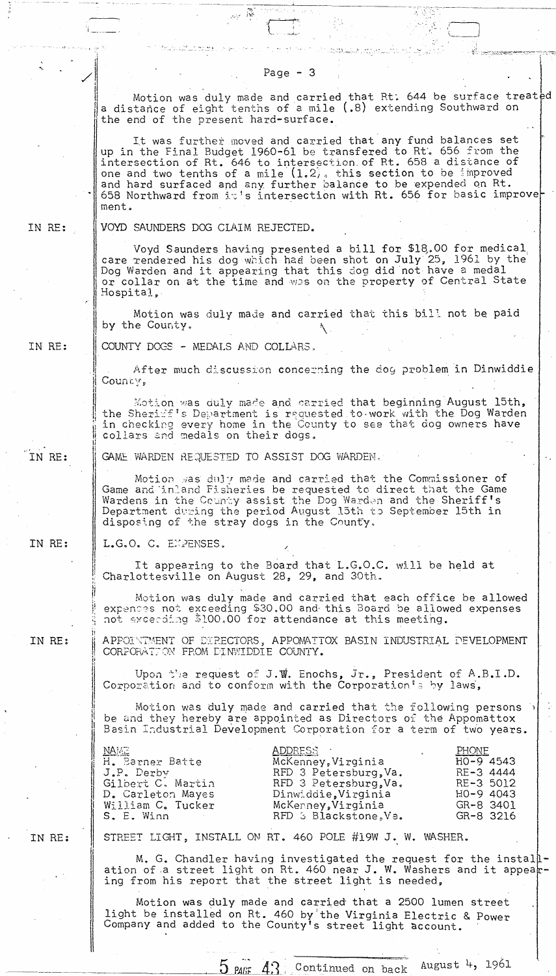.... -:i~· . .' : -. " j----~ . r, \ \_\_\_ - . ,.' '. ~:::-·:--:~~R"'.::·.r..t:~""".-,,-:-;~~·":·····.:.: .... ;j:  $\mathscr{S}$  and  $\mathscr{S}$  is the set of  $\mathscr{S}$  . In the set of  $\mathscr{S}$  is the set of  $\mathscr{S}$  is the set of  $\mathscr{S}$  is the set of  $\mathscr{S}$  is the set of  $\mathscr{S}$  is the set of  $\mathscr{S}$  is the set of  $\mathscr{S}$  is the set of Motion was duly made and carried that Rt. 644 be surface treated a distance of eight tenths of a mile (.8) extending Southward on the end of the present hard-surface. It was further moved and carried that any fund balances set up in the Final Budget 1960-61 be transfered to Rt~ 656 from the intersection of Rt. 646 to intersection. of Rt. 658 a distance of one and two tenths of a mile  $(1.2)$ , this section to be improved and hard surfaced and any further balance to be expended on Rt. \* 658 Northward from it's intersection with Rt. 656 for basic improve ment. IN RE: VOYD SAUNDERS DOG CLAIM REJECTED. Voyd Saunders having presented a bill for \$lQ.OO for medical: care rendered his dog which had been shot on July 25, 1961 by the Dog Warden and it appearing that this dog did not have a medal or collar on at the time and was on the property of Central State or collar on at the time and was on the property of Central State Hospital, Motion was duly made and carried that this bill not be paid by the County. IN RE: COUNTY DOGS - MEDALS AND COLLARS.  $\vert$ After much discussion concerning the dog problem in Dinwiddie County, II Motion was duly made and carried that beginning August 15th, the Sherixf's Department is requested to work with the Dog Warden in checking every home in the County to see that dog owners have I collars and medals on their dogs. il !l IN RE: GAME WARDEN REQUESTED TO ASSIST DOG WARDEN. L Motion was duly made and carried that the Commissioner of Motion was duly made and carried that the Commissioner of<br>Game and inland Fisheries be requested to direct that the Game<br>Wardens in the County assist the Dog Warden and the Sheriff's Game and inland Fisheries be requested to direct that the Game Department during the period August 13th to September 15th in disposing of the stray dogs in the County. IN RE: L.G.O. C. EMPENSES. / ! It appearing to the Board that L.G.O.C. will be held at Charlottesville on August 28, 29, and 30th. Motion was duly made and carried that each office be allowed expenses not exceeding \$30.00 and this Board be allowed expenses not exceeding \$100.00 for attendance at this meeting. APPOI'IMENT OF DIRECTORS, APPOMATTOX BASIN INDUSTRIAL DEVELOPMENT IN RE: CORPORATION FROM DINWIDDIE COUNTY. ;i Upon the request of J.W. Enochs, Jr., President of A.B.I.D. II Corporation and to conform with the Corporation's by laws, II Motion was duly made and carried that the following persons Ii H be and they hereby are appointed as Directors of the Appomattox ii Basin Industrial Development Corporation for a term of two years. i<br>I <u>NAMT</u> ADDRESS PHONF II Ii H. Barner Batte McKenney, Virginia HO-9 4543 J.P. Derby RE-3 4444 RFD 3 Petersburg, Va. I Gilbert C. Martin RFD 3 Petersburg,Va.<br>Dinwiddie,Virginia RE-3 5012 H<sub>0</sub>-9 4043 D. Carleton Mayes Dinwiddie,Virginia<br>McKerney,Virginia William C. Tucker GR-8 3401 S. E. Winn RFD 3 Blackstone, Va. GR-8 3216 IN RE: STREET LIGHT, INSTALL ON RT. 460 POLE #19W J. W. WASHER. I' M. G. Chandler having investigated the request for the install-<br>ation of a street light on Rt. 460 near J. W. Washers and it appear-<br>ing from his report that the street light is needed, Motion was duly made and carried that a 2500 lumen street light be installed on Rt. 460 by'the Virginia Electric & Power Company and added to the County's street light dccount.

 $5$   $\mu$ <sub>0</sub>  $4$ ? Continued on back August 4, 1961

.. ~